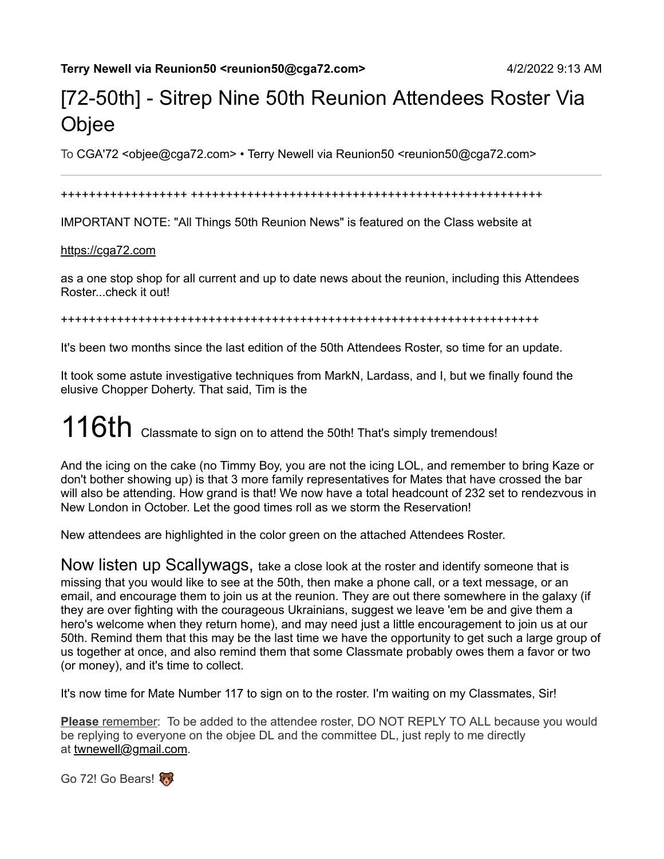## [72-50th] - Sitrep Nine 50th Reunion Attendees Roster Via **Objee**

To CGA'72 <objee@cga72.com> • Terry Newell via Reunion50 <reunion50@cga72.com>

#### ++++++++++++++++++ ++++++++++++++++++++++++++++++++++++++++++++++++++

IMPORTANT NOTE: "All Things 50th Reunion News" is featured on the Class website at

#### [https://cga72.com](https://cga72.com/)

as a one stop shop for all current and up to date news about the reunion, including this Attendees Roster...check it out!

++++++++++++++++++++++++++++++++++++++++++++++++++++++++++++++++++++

It's been two months since the last edition of the 50th Attendees Roster, so time for an update.

It took some astute investigative techniques from MarkN, Lardass, and I, but we finally found the elusive Chopper Doherty. That said, Tim is the

# $116th$  Classmate to sign on to attend the 50th! That's simply tremendous!

And the icing on the cake (no Timmy Boy, you are not the icing LOL, and remember to bring Kaze or don't bother showing up) is that 3 more family representatives for Mates that have crossed the bar will also be attending. How grand is that! We now have a total headcount of 232 set to rendezvous in New London in October. Let the good times roll as we storm the Reservation!

New attendees are highlighted in the color green on the attached Attendees Roster.

Now listen up Scallywags, take a close look at the roster and identify someone that is missing that you would like to see at the 50th, then make a phone call, or a text message, or an email, and encourage them to join us at the reunion. They are out there somewhere in the galaxy (if they are over fighting with the courageous Ukrainians, suggest we leave 'em be and give them a hero's welcome when they return home), and may need just a little encouragement to join us at our 50th. Remind them that this may be the last time we have the opportunity to get such a large group of us together at once, and also remind them that some Classmate probably owes them a favor or two (or money), and it's time to collect.

It's now time for Mate Number 117 to sign on to the roster. I'm waiting on my Classmates, Sir!

**Please** remember: To be added to the attendee roster, DO NOT REPLY TO ALL because you would be replying to everyone on the objee DL and the committee DL, just reply to me directly at [twnewell@gmail.com.](mailto:twnewell@gmail.com)

Go 72! Go Bears!